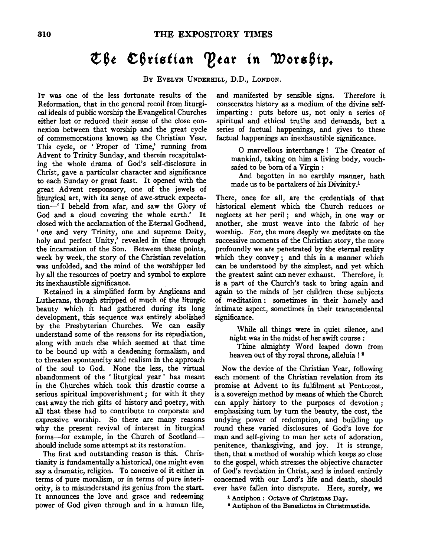## Che Christian Pear in Worship.

Bv EVELYN UNDERHILL, D.D., LONDON.

IT was one of the less fortunate results of the Reformation, that in the general recoil from liturgical ideals of public worship the Evangelical Churches either lost or reduced their sense of the close connexion between that worship and the great cycle of commemorations known as the Christian Year. This cycle, or ' Proper of Time,' running from Advent to Trinity Sunday, and therein recapitulating the whole drama of God's self-disclosure in Christ, gave a particular character and significance to each Sunday or great feast. It opened with the great Advent responsory, one of the jewels of liturgical art, with its sense of awe-struck expectation-' I beheld from afar, and saw the Glory of God and a cloud covering the whole earth.' It closed with the acclamation of the Eternal Godhead, 'one and very Trinity, one and supreme Deity, holy and perfect Unity,' revealed in time through the incarnation of the Son. Between these points, week by week, the story of the Christian revelation was unfolded, and the mind of the worshipper led by all the resources of poetry and symbol to explore its inexhaustible significance.

Retained in a simplified form by Anglicans and Lutherans, though stripped of much of the liturgic beauty which it had gathered during its long development, this sequence was entirely abolished by the Presbyterian Churches. We can easily understand some of the reasons for its repudiation, along with much else which seemed at that time to be bound up with a deadening formalism, and to threaten spontaneity and realism in the approach of the soul to God. None the less, the virtual abandonment of the ' liturgical year ' has meant in the Churches which took this drastic course a serious spiritual impoverishment ; for with it they cast away the rich gifts of history and poetry, with all that these had to contribute to corporate and expressive worship. So there are many reasons why the present revival of interest in liturgical forms-for example, in the Church of Scotlandshould include some attempt at its restoration.

The first and outstanding reason is this. Christianity is fundamentally a historical, one might even say a dramatic, religion. To conceive of it either in terms of pure moralism, or in terms of pure interiority, is to misunderstand its genius from the start. It announces the love and grace and redeeming power of God given through and in a human life,

and manifested by sensible signs. Therefore it consecrates history as a medium of the divine selfimparting: puts before us, not only a series of spiritual and ethical truths and demands, but a series of factual happenings, and gives to these factual happenings an inexhaustible significance.

0 marvellous interchange ! The Creator of mankind, taking on him a living body, vouchsafed to be born of a Virgin :

And begotten in no earthly manner, bath made us to be partakers of his Divinity.1

There, once for all, are the credentials of that historical element which the Church reduces or neglects at her peril ; and which, in one way or another, she must weave into the fabric of her worship. For, the more deeply we meditate on the successive moments of the Christian story, the more profoundly we are penetrated by the eternal reality which they convey ; and this in a manner which can be understood by the simplest, and yet which the greatest saint can never exhaust. Therefore, it is a part of the Church's task to bring again and again to the minds of her children these subjects of meditation : sometimes in their homely and intimate aspect, sometimes in their transcendental significance.

While all things were in quiet silence, and night was in the midst of her swift course :

Thine almighty Word leaped down from heaven out of thy royal throne, alleluia !<sup>2</sup>

Now the device of the Christian Year, following each moment of the Christian revelation from its promise at Advent to its fulfilment at Pentecost, is a sovereign method by means of which the Church can apply history to the purposes of devotion ; emphasizing tum by tum the beauty, the cost, the undying power of redemption, and building up round these varied disclosures of God's love for man and self-giving to man her acts of adoration, penitence, thanksgiving, and joy. It is strange, then, that a method of worship which keeps so close to the gospel, which stresses the objective character of God's revelation in Christ, and is indeed entirely concerned with our Lord's life and death, should ever have fallen into disrepute. Here, surely, we

<sup>1</sup> Antiphon : Octave of Christmas Day.<br><sup>2</sup> Antiphon of the Benedictus in Christmastide.